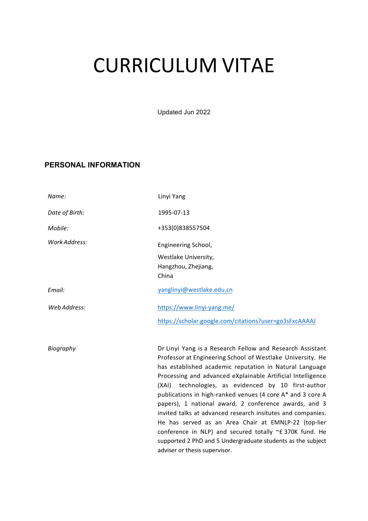# CURRICULUM VITAE

Updated Jun 2022

#### **PERSONAL INFORMATION**

| Name:          | Linyi Yang                                                                                                                                                                                                                                                                                                                                                                                                                                                                                                                                                                                                                                                                                                        |
|----------------|-------------------------------------------------------------------------------------------------------------------------------------------------------------------------------------------------------------------------------------------------------------------------------------------------------------------------------------------------------------------------------------------------------------------------------------------------------------------------------------------------------------------------------------------------------------------------------------------------------------------------------------------------------------------------------------------------------------------|
| Date of Birth: | 1995-07-13                                                                                                                                                                                                                                                                                                                                                                                                                                                                                                                                                                                                                                                                                                        |
| Mobile:        | +353(0)838557504                                                                                                                                                                                                                                                                                                                                                                                                                                                                                                                                                                                                                                                                                                  |
| Work Address:  | Engineering School,<br>Westlake University,<br>Hangzhou, Zhejiang,<br>China                                                                                                                                                                                                                                                                                                                                                                                                                                                                                                                                                                                                                                       |
| Email:         | yanglinyi@westlake.edu.cn                                                                                                                                                                                                                                                                                                                                                                                                                                                                                                                                                                                                                                                                                         |
| Web Address:   | https://www.linyi-yang.me/<br>https://scholar.google.com/citations?user=go3sFxcAAAAJ                                                                                                                                                                                                                                                                                                                                                                                                                                                                                                                                                                                                                              |
| Biography      | Dr Linyi Yang is a Research Fellow and Research Assistant<br>Professor at Engineering School of Westlake University. He<br>has established academic reputation in Natural Language<br>Processing and advanced eXplainable Artificial Intelligence<br>(XAI) technologies, as evidenced by 10 first-author<br>publications in high-ranked venues (4 core A* and 3 core A<br>papers), 1 national award, 2 conference awards, and 3<br>invited talks at advanced research insitutes and companies.<br>He has served as an Area Chair at EMNLP-22 (top-lier<br>conference in NLP) and secured totally ~£ 370K fund. He<br>supported 2 PhD and 5 Undergraduate students as the subject<br>adviser or thesis supervisor. |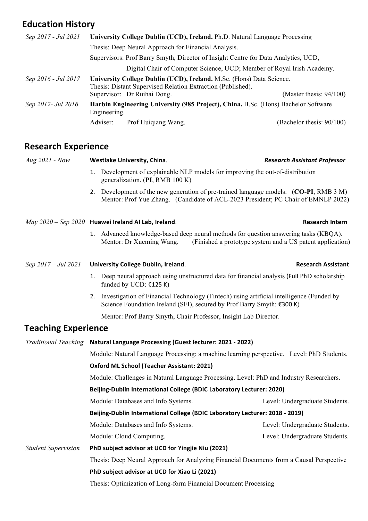# **Education History**

| Sep 2017 - Jul 2021 |                                                                                                    | University College Dublin (UCD), Ireland. Ph.D. Natural Language Processing                                                                                        |                              |
|---------------------|----------------------------------------------------------------------------------------------------|--------------------------------------------------------------------------------------------------------------------------------------------------------------------|------------------------------|
|                     | Thesis: Deep Neural Approach for Financial Analysis.                                               |                                                                                                                                                                    |                              |
|                     | Supervisors: Prof Barry Smyth, Director of Insight Centre for Data Analytics, UCD,                 |                                                                                                                                                                    |                              |
|                     |                                                                                                    | Digital Chair of Computer Science, UCD; Member of Royal Irish Academy.                                                                                             |                              |
| Sep 2016 - Jul 2017 |                                                                                                    | University College Dublin (UCD), Ireland. M.Sc. (Hons) Data Science.<br>Thesis: Distant Supervised Relation Extraction (Published).<br>Supervisor: Dr Ruihai Dong. | (Master thesis: $94/100$ )   |
| Sep 2012- Jul 2016  | Harbin Engineering University (985 Project), China. B.Sc. (Hons) Bachelor Software<br>Engineering. |                                                                                                                                                                    |                              |
|                     | Adviser:                                                                                           | Prof Huigiang Wang.                                                                                                                                                | (Bachelor thesis: $90/100$ ) |

## **Research Experience**

| $Aug 2021 - Now$           | <b>Westlake University, China.</b>                                                                                                                                         | <b>Research Assistant Professor</b>                       |  |  |
|----------------------------|----------------------------------------------------------------------------------------------------------------------------------------------------------------------------|-----------------------------------------------------------|--|--|
|                            | 1. Development of explainable NLP models for improving the out-of-distribution<br>generalization. (PI, RMB 100 K)                                                          |                                                           |  |  |
|                            | 2. Development of the new generation of pre-trained language models. (CO-PI, RMB 3 M)<br>Mentor: Prof Yue Zhang. (Candidate of ACL-2023 President; PC Chair of EMNLP 2022) |                                                           |  |  |
|                            | $May\ 2020 - Sep\ 2020$ Huawei Ireland Al Lab, Ireland.                                                                                                                    | <b>Research Intern</b>                                    |  |  |
|                            | 1. Advanced knowledge-based deep neural methods for question answering tasks (KBQA).<br>Mentor: Dr Xueming Wang.                                                           | (Finished a prototype system and a US patent application) |  |  |
| Sep 2017 – Jul 2021        | <b>University College Dublin, Ireland.</b>                                                                                                                                 | <b>Research Assistant</b>                                 |  |  |
|                            | 1. Deep neural approach using unstructured data for financial analysis (Full PhD scholarship<br>funded by UCD: $£125 K$ )                                                  |                                                           |  |  |
|                            | 2. Investigation of Financial Technology (Fintech) using artificial intelligence (Funded by<br>Science Foundation Ireland (SFI), secured by Prof Barry Smyth: €300 K)      |                                                           |  |  |
|                            | Mentor: Prof Barry Smyth, Chair Professor, Insight Lab Director.                                                                                                           |                                                           |  |  |
| <b>Teaching Experience</b> |                                                                                                                                                                            |                                                           |  |  |
|                            | Traditional Teaching Natural Language Processing (Guest lecturer: 2021 - 2022)                                                                                             |                                                           |  |  |
|                            | Module: Natural Language Processing: a machine learning perspective. Level: PhD Students.                                                                                  |                                                           |  |  |
|                            | <b>Oxford ML School (Teacher Assistant: 2021)</b>                                                                                                                          |                                                           |  |  |
|                            | Module: Challenges in Natural Language Processing. Level: PhD and Industry Researchers.                                                                                    |                                                           |  |  |
|                            | Beijing-Dublin International College (BDIC Laboratory Lecturer: 2020)                                                                                                      |                                                           |  |  |
|                            | Module: Databases and Info Systems.                                                                                                                                        | Level: Undergraduate Students.                            |  |  |
|                            | Beijing-Dublin International College (BDIC Laboratory Lecturer: 2018 - 2019)                                                                                               |                                                           |  |  |
|                            | Module: Databases and Info Systems.                                                                                                                                        | Level: Undergraduate Students.                            |  |  |
|                            | Module: Cloud Computing.                                                                                                                                                   | Level: Undergraduate Students.                            |  |  |
| <b>Student Supervision</b> | PhD subject advisor at UCD for Yingjie Niu (2021)                                                                                                                          |                                                           |  |  |
|                            | Thesis: Deep Neural Approach for Analyzing Financial Documents from a Causal Perspective                                                                                   |                                                           |  |  |
|                            | PhD subject advisor at UCD for Xiao Li (2021)                                                                                                                              |                                                           |  |  |
|                            | Thesis: Optimization of Long-form Financial Document Processing                                                                                                            |                                                           |  |  |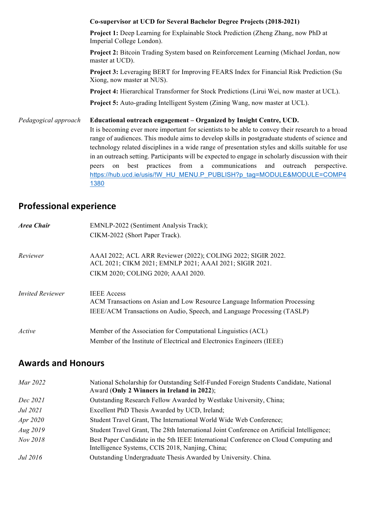**Co-supervisor at UCD for Several Bachelor Degree Projects (2018-2021) Project 1:** Deep Learning for Explainable Stock Prediction (Zheng Zhang, now PhD at Imperial College London). **Project 2:** Bitcoin Trading System based on Reinforcement Learning (Michael Jordan, now master at UCD). **Project 3:** Leveraging BERT for Improving FEARS Index for Financial Risk Prediction (Su Xiong, now master at NUS). **Project 4:** Hierarchical Transformer for Stock Predictions (Lirui Wei, now master at UCL). **Project 5:** Auto-grading Intelligent System (Zining Wang, now master at UCL). *Pedagogical approach* **Educational outreach engagement – Organized by Insight Centre, UCD.**

It is becoming ever more important for scientists to be able to convey their research to a broad range of audiences. This module aims to develop skills in postgraduate students of science and technology related disciplines in a wide range of presentation styles and skills suitable for use in an outreach setting. Participants will be expected to engage in scholarly discussion with their peers on best practices from a communications and outreach perspective. https://hub.ucd.ie/usis/!W\_HU\_MENU.P\_PUBLISH?p\_tag=MODULE&MODULE=COMP4 1380

## **Professional experience**

| Area Chair              | EMNLP-2022 (Sentiment Analysis Track);                                                                                                                                      |  |  |
|-------------------------|-----------------------------------------------------------------------------------------------------------------------------------------------------------------------------|--|--|
|                         | CIKM-2022 (Short Paper Track).                                                                                                                                              |  |  |
| Reviewer                | AAAI 2022; ACL ARR Reviewer (2022); COLING 2022; SIGIR 2022.<br>ACL 2021; CIKM 2021; EMNLP 2021; AAAI 2021; SIGIR 2021.<br>CIKM 2020; COLING 2020; AAAI 2020.               |  |  |
| <i>Invited Reviewer</i> | <b>IEEE</b> Access<br>ACM Transactions on Asian and Low Resource Language Information Processing<br>IEEE/ACM Transactions on Audio, Speech, and Language Processing (TASLP) |  |  |
| Active                  | Member of the Association for Computational Linguistics (ACL)<br>Member of the Institute of Electrical and Electronics Engineers (IEEE)                                     |  |  |

### **Awards and Honours**

| Mar 2022        | National Scholarship for Outstanding Self-Funded Foreign Students Candidate, National<br>Award (Only 2 Winners in Ireland in 2022);      |
|-----------------|------------------------------------------------------------------------------------------------------------------------------------------|
| Dec 2021        | Outstanding Research Fellow Awarded by Westlake University, China;                                                                       |
| Jul 2021        | Excellent PhD Thesis Awarded by UCD, Ireland;                                                                                            |
| Apr 2020        | Student Travel Grant, The International World Wide Web Conference;                                                                       |
| Aug 2019        | Student Travel Grant, The 28th International Joint Conference on Artificial Intelligence;                                                |
| Nov 2018        | Best Paper Candidate in the 5th IEEE International Conference on Cloud Computing and<br>Intelligence Systems, CCIS 2018, Nanjing, China; |
| <i>Jul</i> 2016 | Outstanding Undergraduate Thesis Awarded by University. China.                                                                           |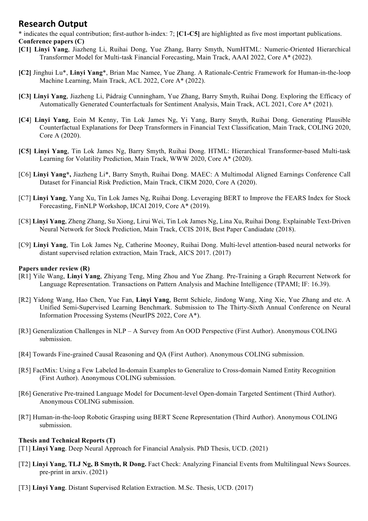#### **Research Output**

\* indicates the equal contribution; first-author h-index: 7; **[C1-C5]** are highlighted as five most important publications. **Conference papers (C)**

- **[C1] Linyi Yang**, Jiazheng Li, Ruihai Dong, Yue Zhang, Barry Smyth, NumHTML: Numeric-Oriented Hierarchical Transformer Model for Multi-task Financial Forecasting, Main Track, AAAI 2022, Core A\* (2022).
- **[C2]** Jinghui Lu\*, **Linyi Yang**\*, Brian Mac Namee, Yue Zhang. A Rationale-Centric Framework for Human-in-the-loop Machine Learning, Main Track, ACL 2022, Core A\* (2022).
- **[C3] Linyi Yang**, Jiazheng Li, Pádraig Cunningham, Yue Zhang, Barry Smyth, Ruihai Dong. Exploring the Efficacy of Automatically Generated Counterfactuals for Sentiment Analysis, Main Track, ACL 2021, Core A\* (2021).
- **[C4**] **Linyi Yang**, Eoin M Kenny, Tin Lok James Ng, Yi Yang, Barry Smyth, Ruihai Dong. Generating Plausible Counterfactual Explanations for Deep Transformers in Financial Text Classification, Main Track, COLING 2020, Core A (2020).
- **[C5] Linyi Yang**, Tin Lok James Ng, Barry Smyth, Ruihai Dong. HTML: Hierarchical Transformer-based Multi-task Learning for Volatility Prediction, Main Track, WWW 2020, Core A\* (2020).
- [C6] **Linyi Yang\*,** Jiazheng Li\*, Barry Smyth, Ruihai Dong. MAEC: A Multimodal Aligned Earnings Conference Call Dataset for Financial Risk Prediction, Main Track, CIKM 2020, Core A (2020).
- [C7] **Linyi Yang**, Yang Xu, Tin Lok James Ng, Ruihai Dong. Leveraging BERT to Improve the FEARS Index for Stock Forecasting, FinNLP Workshop, IJCAI 2019, Core A\* (2019).
- [C8] **Linyi Yang**, Zheng Zhang, Su Xiong, Lirui Wei, Tin Lok James Ng, Lina Xu, Ruihai Dong. Explainable Text-Driven Neural Network for Stock Prediction, Main Track, CCIS 2018, Best Paper Candiadate (2018).
- [C9] **Linyi Yang**, Tin Lok James Ng, Catherine Mooney, Ruihai Dong. Multi-level attention-based neural networks for distant supervised relation extraction, Main Track, AICS 2017. (2017)

#### **Papers under review (R)**

- [R1] Yile Wang, **Linyi Yang**, Zhiyang Teng, Ming Zhou and Yue Zhang. Pre-Training a Graph Recurrent Network for Language Representation. Transactions on Pattern Analysis and Machine Intelligence (TPAMI; IF: 16.39).
- [R2] Yidong Wang, Hao Chen, Yue Fan, **Linyi Yang**, Bernt Schiele, Jindong Wang, Xing Xie, Yue Zhang and etc. A Unified Semi-Supervised Learning Benchmark. Submission to The Thirty-Sixth Annual Conference on Neural Information Processing Systems (NeurIPS 2022, Core A\*).
- [R3] Generalization Challenges in NLP A Survey from An OOD Perspective (First Author). Anonymous COLING submission.
- [R4] Towards Fine-grained Causal Reasoning and QA (First Author). Anonymous COLING submission.
- [R5] FactMix: Using a Few Labeled In-domain Examples to Generalize to Cross-domain Named Entity Recognition (First Author). Anonymous COLING submission.
- [R6] Generative Pre-trained Language Model for Document-level Open-domain Targeted Sentiment (Third Author). Anonymous COLING submission.
- [R7] Human-in-the-loop Robotic Grasping using BERT Scene Representation (Third Author). Anonymous COLING submission.

#### **Thesis and Technical Reports (T)**

[T1] **Linyi Yang**. Deep Neural Approach for Financial Analysis. PhD Thesis, UCD. (2021)

- [T2] **Linyi Yang, TLJ Ng, B Smyth, R Dong.** Fact Check: Analyzing Financial Events from Multilingual News Sources. pre-print in arxiv. (2021)
- [T3] **Linyi Yang**. Distant Supervised Relation Extraction. M.Sc. Thesis, UCD. (2017)